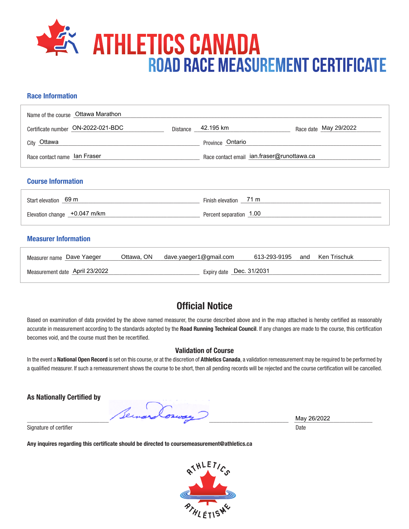

## **Race Information**

| Name of the course Ottawa Marathon |                                            |                    |  |                       |
|------------------------------------|--------------------------------------------|--------------------|--|-----------------------|
| Certificate number ON-2022-021-BDC |                                            | Distance 42.195 km |  | Race date May 29/2022 |
| <sub>City</sub> Ottawa             |                                            | Province Ontario   |  |                       |
| Race contact name lan Fraser       | Race contact email ian.fraser@runottawa.ca |                    |  |                       |
| <b>Course Information</b>          |                                            |                    |  |                       |

| Start elevation 69 m          | Finish elevation 71 m   |
|-------------------------------|-------------------------|
| Elevation change _+0.047 m/km | Percent separation 1.00 |

## **Measurer Information**

| Measurer name Dave Yaeger                                  |  | Ottawa, ON dave.yaeger1@gmail.com | 613-293-9195 | and | Ken Trischuk |
|------------------------------------------------------------|--|-----------------------------------|--------------|-----|--------------|
| Expiry date Dec. 31/2031<br>Measurement date April 23/2022 |  |                                   |              |     |              |

## **Official Notice**

Based on examination of data provided by the above named measurer, the course described above and in the map attached is hereby certified as reasonably accurate in measurement according to the standards adopted by the **Road Running Technical Council**. If any changes are made to the course, this certification becomes void, and the course must then be recertified.

## **Validation of Course**

In the event a **National Open Record** is set on this course, or at the discretion of **Athletics Canada**, a validation remeasurement may be required to be performed by a qualified measurer. If such a remeasurement shows the course to be short, then all pending records will be rejected and the course certification will be cancelled.

**As Nationally Certified by**

\_\_\_\_\_\_\_\_\_\_\_\_\_\_\_\_\_\_\_\_\_\_\_\_\_\_\_\_\_\_\_\_\_\_\_\_\_\_\_\_\_\_\_\_\_\_\_\_\_\_\_\_\_\_\_\_\_\_\_\_\_\_\_\_\_\_\_\_\_\_\_\_\_\_\_\_\_\_\_\_\_\_\_\_\_\_\_ \_\_\_\_\_\_\_\_\_\_\_\_\_\_\_\_\_\_\_\_\_\_\_\_\_\_

Signature of certifier Date Date of Certifier and Contract of Certifier and Date Date of Certifier and Date Date of Certifier and Date of Certifier and Date of Certifier and Date of Certifier and Date of Certifier and Date

**Any inquires regarding this certificate should be directed to coursemeasurement@athletics.ca**



May 26/2022